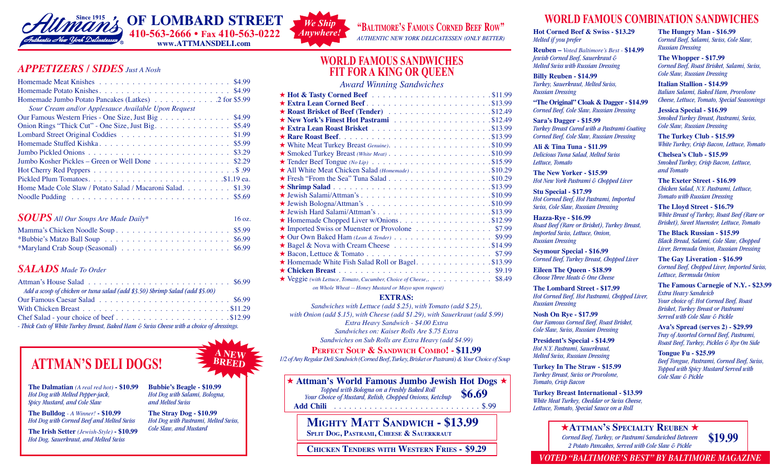

#### *APPETIZERS / SIDES Just A Nosh APPETIZERS / SIDES Just A Nosh*  $ATTLIIZENS / SIDES Just ANosh$ *APPETIZERS / SIDES Just A Nosh*

#### *SOUPS All Our Soups Are Made Daily\** 16 oz. *SOUPS All Our Soups Are Made Daily\* SOUPS All Our Soups Are Made Daily\** Mamma's Chicken Noodle Soup \$5.99 Mamma's Chicken Noodle Soup . . . . . . . . . . . . . . . . . \$4.49 \$5.49 Mamma's Chicken Noodle Soup . . . . . . . . . . . . . . . . . \$4.49 \$5.49  $16$  oz.

# *SALADS Made To Order SALADS Made To Order SALADS Made To Order*

| Add a scoop of chicken or tuna salad (add \$3.50) Shrimp Salad (add \$5.00)               |  |
|-------------------------------------------------------------------------------------------|--|
|                                                                                           |  |
|                                                                                           |  |
| Chef Salad - your choice of beef\$12.99                                                   |  |
| - Thick Cuts of White Turkey Breast, Baked Ham & Swiss Cheese with a choice of dressings. |  |
|                                                                                           |  |

Halvah - Jewish Love Candy . . . . . . . . . . . . . . . . . . . . \$9.99 per lb.

Halvah - Jewish Love Candy . . . . . . . . . . . . . . . . . . . . \$9.99 per lb.

#### $\mathbf{A} \mathbf{N} \mathbf{E} \mathbf{W}$ Fruited Cheesecake NY Style . . . . . . . . . . . . . . . . . . . . . . . . \$5.59 **ATTMAN'S DELI DOGS!**  $\geq \frac{A_{NEW}}{B_{REED}}$ **FRUITHERS DELL DOGS!** The style of  $\mathbb{Z}$  skeed. Cinnamon Nut Stick . . . . . . . . . . . . . . . . . . . . . . . . . . . . . . \$4.29

*Hot Dog with Melted Pepper-jack,* Black Bottoms . . . . . . . . . . . . . . . . . . . . . . . . . . . . . . . . . . \$1.99 *Spicy Mustard, and Cole Slaw*<br> *Spicy Mustard, and Cole Slaw and Melted Swiss* The Danmatian  $(A \text{ real } n\omega) = \mathfrak{d}(0.99)$  Dubble's Deagle's  $\mathfrak{d}(0.99)$ 

**The Bulldog** *- A Winner!* - \$10.99 **The Stray Dog - \$10.99** Hot Dog with Corned Beef and Melted Swiss Hot Dog with Pastrami, Melted

The Irish Setter (Jewish-Style) - \$10.99 Cole Slaw, and Mustard *Hot Dog, Sauerkraut, and Melted Swiss* Ida's Jewish Apple Cake . . . . . . . . . . . . . . . . . . . . . . . . . . . \$5.49 Ida's Jewish Apple Cake . . . . . . . . . . . . . . . . . . . . . . . . . . . \$5.49

The Dalmatian (A real red hot) - \$10.99 Bubbie's Beagle - \$10.99 **Bubbie's Beagle - \$10.99** *Hot Dog with Salami, Bologna, and Melted Swiss* Chocolate Top . . . . . . . . . . . . . . . . . . . . . . . . . . . . . . . . . . \$1.99

> $\mathbf{g}$  - A Winner! - \$10.99 **The Stray Dog - \$10.99** *Hot Dog with Pastrami, Melted Swiss, Cole Slaw, and Mustard*



**AUTHENTIC NEW YORK DELICATESSEN (ONLY BETTER)** 

### **WORLD FAMOUS SANDWICHES WORLD FAMOUS SANDWICHES WORLD FAMOUS SANDWICHES FIT FOR A KING OR QUEEN FIT FOR A KING OR QUEEN FIT FOR A KING OR QUEEN**

*Award Winning Sandwiches Award Winning Sandwiches Award Winning Sandwiches*

| ★ Extra Lean Corned Beef\$13.99                                                                       |
|-------------------------------------------------------------------------------------------------------|
|                                                                                                       |
|                                                                                                       |
|                                                                                                       |
|                                                                                                       |
|                                                                                                       |
| $\star$ Smoked Turkey Breast (White Meat) $\dots \dots \dots \dots \dots \dots \dots \dots$ . \$10.99 |
|                                                                                                       |
| All White Meat Chicken Salad (Homemade) \$10.29                                                       |
|                                                                                                       |
|                                                                                                       |
|                                                                                                       |
|                                                                                                       |
|                                                                                                       |
| ★ Homemade Chopped Liver w/Onions \$12.99                                                             |
| ★ Imported Swiss or Muenster or Provolone \$7.99                                                      |
| $\star$ Our Own Baked Ham (Lean & Tender) $\ldots \ldots \ldots \ldots \ldots \ldots$ \$9.99          |
|                                                                                                       |
|                                                                                                       |
| ★ Homemade White Fish Salad Roll or Bagel. \$13.99                                                    |
|                                                                                                       |
| $\star$ Veggie (with Lettuce, Tomato, Cucumber, Choice of Cheese, \$8.49                              |
| on Whole Wheat -- Honey Mustard or Mayo upon request)                                                 |
| <b>EXTRAS:</b>                                                                                        |
|                                                                                                       |

#### **EXTRAS:**

*SATRAS:*<br>*Sandwiches with Lettuce (add \$.25), with Tomato (add \$.25), with Onion (add \$.15), with Cheese (add \$1.29), with Sauerkraut (add \$.99) Extra Heavy Sandwich - \$4.00 Extra Sandwiches on: Kaiser Rolls Are \$.75 Extra Sandwiches on: Kaiser Rolls Are \$.75 Extra Sandwiches on: Kaiser Rolls Are \$.75 Extra*  $S$ andwiches on Sub Rolls are Extra Heavy (add \$4.99) *Sanawiches with Lettuce (add \$.25), with Tomato (add \$.25),* 

#### PERFECT SOUP & SANDWICH COMBO! - \$11.99

1/2 of Any Regular Deli Sandwich (Corned Beef, Turkey, Brisket or Pastrami) & Your Choice of Soup

*Topped with Bologna on a Freshly Baked Roll***<br>Choice of Mustard Relish Chopped Onions Ketchup ★ Attman's World Famous Jumbo Jewish Hot Dogs ★** *Yopped with Bologna on a Freshly Baked Roll*<br> *Your Choice of Mustard, Relish, Chopped Onions, Ketchup Your Choice of Mustard, Relish, Chopped Onions, Ketchup* **\$6.69**

**Add Chili** . . . . . . . . . . . . . . . . . . . . . . . . . . . . . \$.99 **Add Chili** . . . . . . . . . . . . . . . . . . . . . . . . . . . . . \$.99

MIGHTY MATT SANDWICH - \$13.99 **SPLIT DOG, PASTRAMI, C EXECUTE IN PRINCIPLY IN ATT T**<br> **SPLIT DOG, PASTRAMI, CE SPLIT DOG, PASTRAMI, CHEESE & SAUERKRAUT** 

**\$9.29 \$9.29 Chicken Tenders with Western Fries - \$9.29**

# We Ship<br>WORLD FAMOUS COMBINATION SANDWICHES

**Hot Corned Beef & Swiss - \$13.29 Hot Corned Beef & Swiss** - **\$10.89 Hot Corned Beef & Swiss** - **\$10.89** *Melted if you prefer Melted if you prefer Melted if you prefer*

**Reuben –** *Voted Baltimore's Best -* **\$14.99 Reuben –** *Voted Baltimore's Best* - **\$11.99 Reuben –** *Voted Baltimore's Best* - **\$11.99** *Jewish Corned Beef, Sauerkraut & Jewish Corned Beef, Sauerkraut & Jewish Corned Beef, Sauerkraut & Melted Swiss with Russian Dressing Melted Swiss with Russian Dressing Melted Swiss with Russian Dressing*

**Billy Reuben - \$14.99 Billy Reuben - \$11.99 Billy Reuben - \$11.99** *Turkey, Sauerkraut, Melted Swiss, Turkey, Sauerkraut, Melted Swiss, Russian Dressing Turkey, Sauerkraut, Melted Swiss, Russian Dressing*  $R$ *ussian Dressing* 

**"The Original" Cloak & Dagger - \$14.99** *Corned Beef, Cole Slaw, Russian Dressing* **"The Original" Cloak & Dagger** - **\$11.99** *Corned Beef, Cole Slaw, Russian Dressing Corned Beef, Cole Slaw, Russian Dressing*

**Sara's Dagger - \$15.99** *Turkey Breast Cured with a Pastrami Coating Corned Beef, Cole Slaw, Russian Dressing Turkey Breast Cured with a Pastrami Coating Corned Beef, Cole Slaw, Russian Dressing Corned Beef, Cole Slaw, Russian Dressing*

**Ali & Tina Tuna - \$11.99** *Delicious Tuna Salad, Melted Swiss,*  **Ali & Tina Tuna** - **\$9.99** *Delicious Tuna Salad, Melted Swiss Lettuce, Tomato Lettuce, Tomato*  $Lettuce, Tomato$ *Delicious Tuna Salad, Melted Swiss,* 

*Hota Packer* - \$15.99 *Hot New York Pastrami & Chopped Liver Hot New York Pastrami & Chopped Liver*

**Stu Special - \$17.99 Stu Special** - **\$13.99** *Hot Corned Beef, Hot Pastrami, Imported Swiss, Cole Slaw, Russian Dressing Cole Slaw, Russian Dressing Hot Corned Beef, Hot Pastrami, Imported Swiss,*  **Stu Special** - **\$13.99**

**Hazza-Rye - \$16.99 Slammin' Sam** - **\$11.69** *Roast Beef (Rare or Brisket), Turkey Breast, Thick cut Salami, Pepper Cheese, Onion, Tomato Imported Swiss, Lettuce, Onion, Russian Dressing Roast Beef (Rare or Brisket), Turkey Breast, Roast Beef (Rare or Brisket), Turkey Breast, Thick cut Salami, Pepper Cheese, Onion, Tomato* **Slammin' Sam** - **\$11.69**

**Seymour Special - \$16.99** *Imported Swiss, Lettuce, Onion, Russian Dressing Imported Swiss, Lettuce, Onion, Russian Dressing* **By Hour Special 41209**<br> **By Bread** Beef, Turkey Breast, Chopped Liver

**Eileen The Queen - \$18.99** *Beef Liverwurst, Roast Beef, Swiss, Lettuce, Choose Three Meats & One Cheese Russian Dressing on Black Bread Beef Liverwurst, Roast Beef, Swiss, Lettuce,* 

**The Lombard Street - \$17.99 Seymour Special** - **\$13.99** *Hot Corned Beef, Hot Pastrami, Chopped Liver,* **Examble 2018** *Corned Beef, Turkey Breast, Chopped Liver* **Seymour Special** - **\$13.99**

**Nosh On Rye - \$17.99** *Choose Three Meats & One Cheese Choose Three Meats & One Cheese*  $Our\, Famos\, Conred\, Beef, Roast\, Brisket,$ *Cole Slaw, Swiss, Russian Dressing Hot Corned Beef, Hot Pastrami, Hot Corned Beef, Hot Pastrami,*

**President's Special - \$14.99**  $Hot N.Y.$  Pastrami, Sauerkraut, *Melted Swiss, Russian Dressing Our Famous Corned Beef, Roast Brisket, Our Famous Corned Beef, Roast Brisket,* 

**Turkey In The Straw - \$15.99** *Cole Slaw, Swiss, Russian Dressing Cole Slaw, Swiss, Russian Dressing*  $Turkey$  Breast, Swiss or Provolone, *Tomato, Crisp Bacon Hot N.Y. Pastrami, Sauerkraut, Hot N.Y. Pastrami, Sauerkraut,* 

**Turkey Breast International - \$13.99** *Melted Swiss, Russian Dressing Melted Swiss, Russian Dressing* **White Meat Turkey, Cheddar or Swiss Cheese,** Lettuce, Tomato, Special Sauce on a Roll

## $\star$ ATTMAN'S SPECIALTY REUBEN  $\star$

*Corned Beef, Turkey, or Pastrami Sandwiched Between Corned Beef, Turkey, or Pastrami Sandwiched Between*  Corned Beef, Turkey, or Pastrami Sandwiched Between  $$19.99$ <br>2 Potato Pancakes, Served with Cole Slaw & Pickle

**The Hungry Man - \$16.99** *Corned Beef, Salami, Swiss, Cole Slaw, White Meat Turkey, Cheddar or Swiss Cheese, White Meat Turkey, Cheddar or Swiss Cheese, Russian Dressing Lettuce, Tomato, Special Sauce on a Roll Lettuce, Tomato, Special Sauce on a Roll*

**The Whopper - \$17.99 The Hungry Man** - **\$13.99 Corned Beef, Roast Brisket, Salami, Swiss,** *Cole Slaw, Russian Dressing Cole Slaw, Russian Dressing Cole Slaw, Russian Dressing Corned Beef, Salami, Swiss,*

**Italian Stallion - \$14.99 The Whopper** - **\$14.69** *Italian Salami, Baked Ham, Provolone Corned Beef, Roast Brisket, Salami,* **The Whopper** - **\$14.69** *Cheese, Lettuce, Tomato, Special Seasonings Swiss, Cole Slaw, Russian Dressing Corned Beef, Roast Brisket, Salami, Swiss, Cole Slaw, Russian Dressing*

**Jessica Special - \$16.99 Subsica Special - \$10.59**<br>Smoked Turkey Breast, Pastrami, Swiss, *Cole Slaw, Russian Dressing Lettuce, Tomato, Special Seasonings Italian Salami, Baked Ham, Provolone Cheese, Italian Salami, Baked Ham, Provolone Cheese,* **Italian Stallion** - **\$11.69**

**The Turkey Club - \$15.99** *Lettuce, Tomato, Special Seasonings White Turkey, Crisp Bacon, Lettuce, Tomato Simoke Turkey, Crisp Bacon, Lettuce* 

**Chelsea's Club - \$15.99** *Swiss, Cole Slaw, Russian Dressing Smoked Turkey Breast, Pastrami, Suissea Sciup - \$13.33*<br>Smoked Turkey, Crisp Bacon, Lettuce, *And Tomato* 

*The Exeter Street - \$16.99*  $Chicken$  Salad, N.Y. Pastrami, Lettuce, *Tomato with Russian Dressing Smoked Turkey, Crisp Bacon, Smoked Turkey, Crisp Bacon,*

**The Lloyd Street - \$16.79** *White Breast of Turkey, Roast Beef (Rare or Brisket), Sweet Muenster, Lettuce, Tomato*<br>*Brisket), Sweet Muenster, Lettuce, Tomato Chicken Salad, N.Y. Pastrami,*

**The Black Russian - \$15.99** *Black Bread, Salami, Cole Slaw, Chopped*  **The Lloyd Street** - **\$14.69 Liver, Bermuda Onion, Russian Dressing** 

**The Gay Liveration - \$16.99** *Brisket), Sweet Muenster, Lettuce, Tomato White Breast of Turkey, Roast Beef (Rare or Corned Beef, Chopped Liver, Imported Swiss,*  cornea Beef, cooppea *Lwer, impor*<br>Lettuce, Bermuda Onion *Black Bread, Salami, Cole Slaw, Chopped* **The Black Russian** - **\$13.69** *Brisket), Sweet Muenster, Lettuce, Tomato*

**The Famous Carnegie of N.Y. - \$23.99** *Extra Heavy Sandwich*  $Your choice of: Hot$  <i>Corrected</i> <i>Beef</i>, <i>Roast</i> *Brisket, Turkey Breast or Pastrami Corned Beef, Chopped Liver, Corned Beef, Chopped Liver, Shisket, Lutkey Breast of Lashami*<br>Served with Cole Slaw & Pickle *Liver, Bermuda Onion, Russian Dressing*

**Ava's Spread (serves 2) - \$29.99 The Famous Carnegie of N.Y.** - **\$21.69 The Famous Carnegie of N.Y.** - **\$21.69** *Tray of Assorted Corned Beef, Pastrami, Roast Beef, Turkey, Pickles & Rye On Side Roast Beef, Turkey, Pickles & Rye On Side* 

**Tongue Fu - \$25.99** *Served with Cole Slaw & Pickle Brisket, Turkey Breast or Pastrami* **Beef Tongue, Pastrami, Corned Beef, Swiss,** *Topped with Spicy Mustard Served with Cole Slaw & Pickle Tray of Assorted Corned Beef, Pastrami, Tray of Assorted Corned Beef, Pastrami, Roast Beef, Turkey, Pickles & Rye On Side*

*VOTED "BALTIMORE'S BEST" BY BALTIMORE MAGAZINE VOTED "BALTIMORE'S BEST" BY BALTIMORE MAGAZINE VOTED "BALTIMORE'S BEST" BY BALTIMORE MAGAZINE*